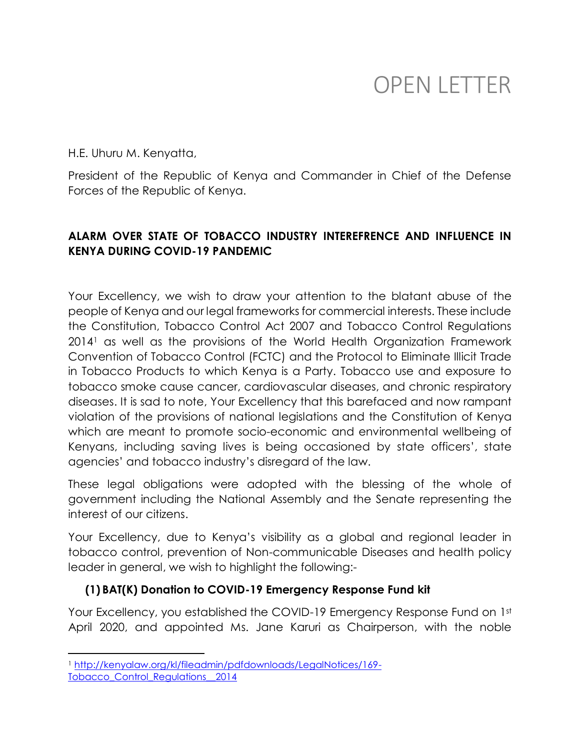# OPEN LETTER

H.E. Uhuru M. Kenyatta,

President of the Republic of Kenya and Commander in Chief of the Defense Forces of the Republic of Kenya.

#### **ALARM OVER STATE OF TOBACCO INDUSTRY INTEREFRENCE AND INFLUENCE IN KENYA DURING COVID-19 PANDEMIC**

Your Excellency, we wish to draw your attention to the blatant abuse of the people of Kenya and our legal frameworks for commercial interests. These include the Constitution, Tobacco Control Act 2007 and Tobacco Control Regulations 2014<sup>1</sup> as well as the provisions of the World Health Organization Framework Convention of Tobacco Control (FCTC) and the Protocol to Eliminate Illicit Trade in Tobacco Products to which Kenya is a Party. Tobacco use and exposure to tobacco smoke cause cancer, cardiovascular diseases, and chronic respiratory diseases. It is sad to note, Your Excellency that this barefaced and now rampant violation of the provisions of national legislations and the Constitution of Kenya which are meant to promote socio-economic and environmental wellbeing of Kenyans, including saving lives is being occasioned by state officers', state agencies' and tobacco industry's disregard of the law.

These legal obligations were adopted with the blessing of the whole of government including the National Assembly and the Senate representing the interest of our citizens.

Your Excellency, due to Kenya's visibility as a global and regional leader in tobacco control, prevention of Non-communicable Diseases and health policy leader in general, we wish to highlight the following:-

#### **(1) BAT(K) Donation to COVID-19 Emergency Response Fund kit**

Your Excellency, you established the COVID-19 Emergency Response Fund on 1st April 2020, and appointed Ms. Jane Karuri as Chairperson, with the noble

l

<sup>1</sup> [http://kenyalaw.org/kl/fileadmin/pdfdownloads/LegalNotices/169-](http://kenyalaw.org/kl/fileadmin/pdfdownloads/LegalNotices/169-Tobacco_Control_Regulations__2014) [Tobacco\\_Control\\_Regulations\\_\\_2014](http://kenyalaw.org/kl/fileadmin/pdfdownloads/LegalNotices/169-Tobacco_Control_Regulations__2014)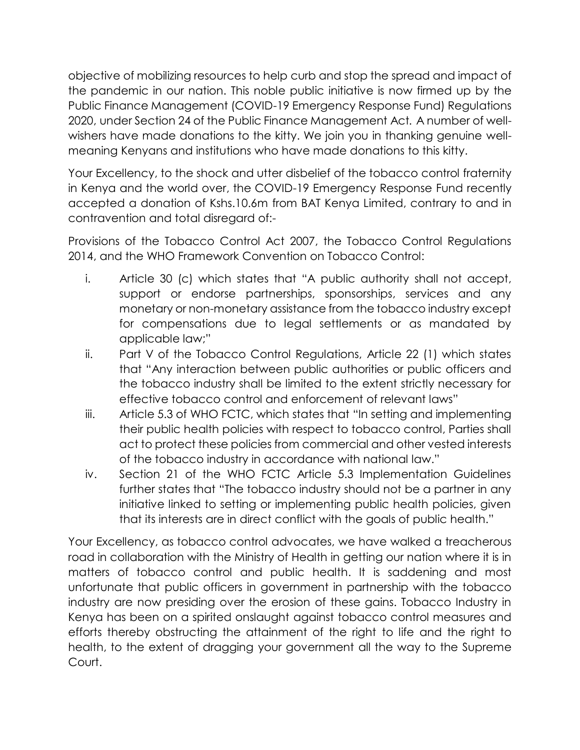objective of mobilizing resources to help curb and stop the spread and impact of the pandemic in our nation. This noble public initiative is now firmed up by the Public Finance Management (COVID-19 Emergency Response Fund) Regulations 2020, under Section 24 of the Public Finance Management Act*.* A number of wellwishers have made donations to the kitty. We join you in thanking genuine wellmeaning Kenyans and institutions who have made donations to this kitty.

Your Excellency, to the shock and utter disbelief of the tobacco control fraternity in Kenya and the world over, the COVID-19 Emergency Response Fund recently accepted a donation of Kshs.10.6m from BAT Kenya Limited, contrary to and in contravention and total disregard of:-

Provisions of the Tobacco Control Act 2007, the Tobacco Control Regulations 2014, and the WHO Framework Convention on Tobacco Control:

- i. Article 30 (c) which states that "A public authority shall not accept, support or endorse partnerships, sponsorships, services and any monetary or non-monetary assistance from the tobacco industry except for compensations due to legal settlements or as mandated by applicable law;"
- ii. Part V of the Tobacco Control Regulations, Article 22 (1) which states that "Any interaction between public authorities or public officers and the tobacco industry shall be limited to the extent strictly necessary for effective tobacco control and enforcement of relevant laws"
- iii. Article 5.3 of WHO FCTC, which states that "In setting and implementing their public health policies with respect to tobacco control, Parties shall act to protect these policies from commercial and other vested interests of the tobacco industry in accordance with national law."
- iv. Section 21 of the WHO FCTC Article 5.3 Implementation Guidelines further states that "The tobacco industry should not be a partner in any initiative linked to setting or implementing public health policies, given that its interests are in direct conflict with the goals of public health."

Your Excellency, as tobacco control advocates, we have walked a treacherous road in collaboration with the Ministry of Health in getting our nation where it is in matters of tobacco control and public health. It is saddening and most unfortunate that public officers in government in partnership with the tobacco industry are now presiding over the erosion of these gains. Tobacco Industry in Kenya has been on a spirited onslaught against tobacco control measures and efforts thereby obstructing the attainment of the right to life and the right to health, to the extent of dragging your government all the way to the Supreme Court.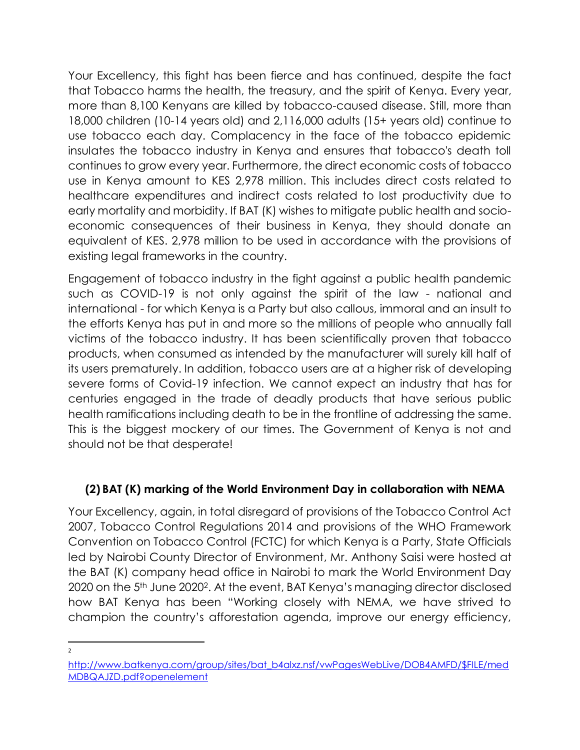Your Excellency, this fight has been fierce and has continued, despite the fact that Tobacco harms the health, the treasury, and the spirit of Kenya. Every year, more than 8,100 Kenyans are killed by tobacco-caused disease. Still, more than 18,000 children (10-14 years old) and 2,116,000 adults (15+ years old) continue to use tobacco each day. Complacency in the face of the tobacco epidemic insulates the tobacco industry in Kenya and ensures that tobacco's death toll continues to grow every year. Furthermore, the direct economic costs of tobacco use in Kenya amount to KES 2,978 million. This includes direct costs related to healthcare expenditures and indirect costs related to lost productivity due to early mortality and morbidity. If BAT (K) wishes to mitigate public health and socioeconomic consequences of their business in Kenya, they should donate an equivalent of KES. 2,978 million to be used in accordance with the provisions of existing legal frameworks in the country.

Engagement of tobacco industry in the fight against a public health pandemic such as COVID-19 is not only against the spirit of the law - national and international - for which Kenya is a Party but also callous, immoral and an insult to the efforts Kenya has put in and more so the millions of people who annually fall victims of the tobacco industry. It has been scientifically proven that tobacco products, when consumed as intended by the manufacturer will surely kill half of its users prematurely. In addition, tobacco users are at a higher risk of developing severe forms of Covid-19 infection. We cannot expect an industry that has for centuries engaged in the trade of deadly products that have serious public health ramifications including death to be in the frontline of addressing the same. This is the biggest mockery of our times. The Government of Kenya is not and should not be that desperate!

## **(2) BAT (K) marking of the World Environment Day in collaboration with NEMA**

Your Excellency, again, in total disregard of provisions of the Tobacco Control Act 2007, Tobacco Control Regulations 2014 and provisions of the WHO Framework Convention on Tobacco Control (FCTC) for which Kenya is a Party, State Officials led by Nairobi County Director of Environment, Mr. Anthony Saisi were hosted at the BAT (K) company head office in Nairobi to mark the World Environment Day 2020 on the 5th June 20202. At the event, BAT Kenya's managing director disclosed how BAT Kenya has been "Working closely with NEMA, we have strived to champion the country's afforestation agenda, improve our energy efficiency,

 $\overline{a}$ 2

[http://www.batkenya.com/group/sites/bat\\_b4alxz.nsf/vwPagesWebLive/DOB4AMFD/\\$FILE/med](http://www.batkenya.com/group/sites/bat_b4alxz.nsf/vwPagesWebLive/DOB4AMFD/$FILE/medMDBQAJZD.pdf?openelement) [MDBQAJZD.pdf?openelement](http://www.batkenya.com/group/sites/bat_b4alxz.nsf/vwPagesWebLive/DOB4AMFD/$FILE/medMDBQAJZD.pdf?openelement)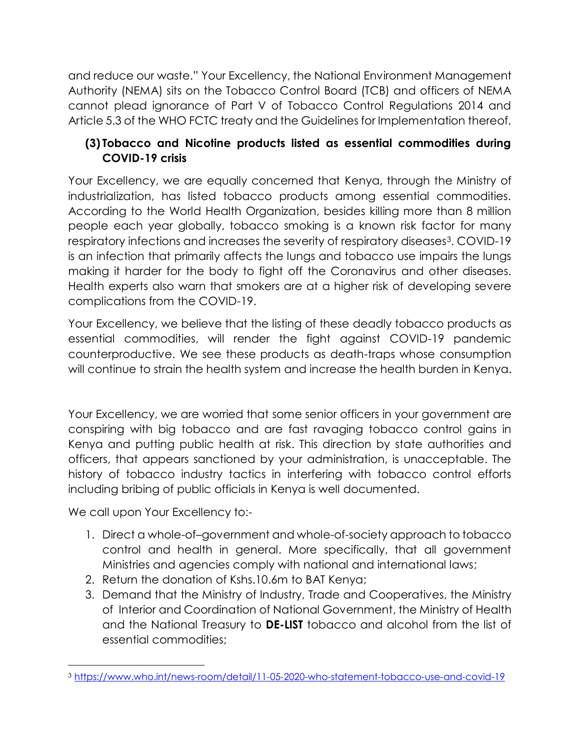and reduce our waste." Your Excellency, the National Environment Management Authority (NEMA) sits on the Tobacco Control Board (TCB) and officers of NEMA cannot plead ignorance of Part V of Tobacco Control Regulations 2014 and Article 5.3 of the WHO FCTC treaty and the Guidelines for Implementation thereof.

## **(3) Tobacco and Nicotine products listed as essential commodities during COVID-19 crisis**

Your Excellency, we are equally concerned that Kenya, through the Ministry of industrialization, has listed tobacco products among essential commodities. According to the World Health Organization, besides killing more than 8 million people each year globally, tobacco smoking is a known risk factor for many respiratory infections and increases the severity of respiratory diseases<sup>3</sup>. COVID-19 is an infection that primarily affects the lungs and tobacco use impairs the lungs making it harder for the body to fight off the Coronavirus and other diseases. Health experts also warn that smokers are at a higher risk of developing severe complications from the COVID-19.

Your Excellency, we believe that the listing of these deadly tobacco products as essential commodities, will render the fight against COVID-19 pandemic counterproductive. We see these products as death-traps whose consumption will continue to strain the health system and increase the health burden in Kenya.

Your Excellency, we are worried that some senior officers in your government are conspiring with big tobacco and are fast ravaging tobacco control gains in Kenya and putting public health at risk. This direction by state authorities and officers, that appears sanctioned by your administration, is unacceptable. The history of tobacco industry tactics in interfering with tobacco control efforts including bribing of public officials in Kenya is well documented.

We call upon Your Excellency to:-

- 1. Direct a whole-of–government and whole-of-society approach to tobacco control and health in general. More specifically, that all government Ministries and agencies comply with national and international laws;
- 2. Return the donation of Kshs.10.6m to BAT Kenya;
- 3. Demand that the Ministry of Industry, Trade and Cooperatives, the Ministry of Interior and Coordination of National Government, the Ministry of Health and the National Treasury to **DE-LIST** tobacco and alcohol from the list of essential commodities;

l <sup>3</sup> <https://www.who.int/news-room/detail/11-05-2020-who-statement-tobacco-use-and-covid-19>